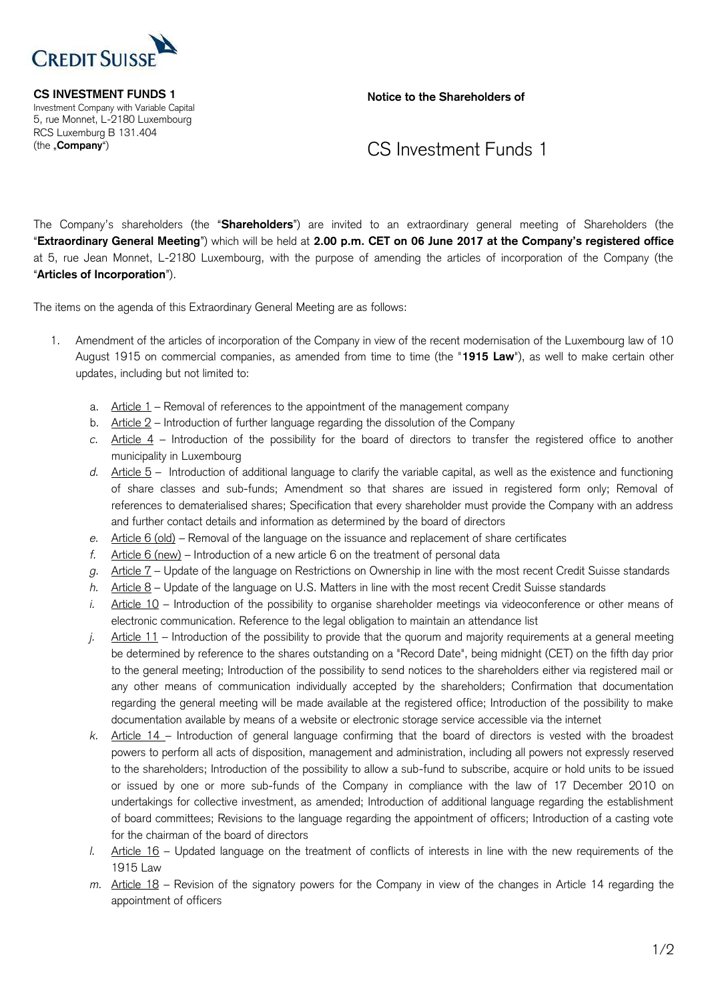

 Investment Company with Variable Capital 5, rue Monnet, L-2180 Luxembourg RCS Luxemburg B 131.404

**CS INVESTMENT FUNDS 1** Notice to the Shareholders of

## (the "**Company**") CS Investment Funds 1

 The Company's shareholders (the "**Shareholders**") are invited to an extraordinary general meeting of Shareholders (the "**Extraordinary General Meeting**") which will be held at **2.00 p.m. CET on 06 June 2017 at the Company's registered office** at 5, rue Jean Monnet, L-2180 Luxembourg, with the purpose of amending the articles of incorporation of the Company (the "**Articles of Incorporation**").

The items on the agenda of this Extraordinary General Meeting are as follows:

- 1. Amendment of the articles of incorporation of the Company in view of the recent modernisation of the Luxembourg law of 10 August 1915 on commercial companies, as amended from time to time (the "**1915 Law**"), as well to make certain other updates, including but not limited to:
	- a. Article 1 Removal of references to the appointment of the management company
	- b. Article 2 Introduction of further language regarding the dissolution of the Company
	- *c.* Article 4 Introduction of the possibility for the board of directors to transfer the registered office to another municipality in Luxembourg
	- *d.* Article 5 Introduction of additional language to clarify the variable capital, as well as the existence and functioning of share classes and sub-funds; Amendment so that shares are issued in registered form only; Removal of references to dematerialised shares; Specification that every shareholder must provide the Company with an address and further contact details and information as determined by the board of directors
	- *e.* Article 6 (old) Removal of the language on the issuance and replacement of share certificates
	- *f.* Article 6 (new) Introduction of a new article 6 on the treatment of personal data
	- *g.* Article 7 Update of the language on Restrictions on Ownership in line with the most recent Credit Suisse standards
	- *h.* Article 8 Update of the language on U.S. Matters in line with the most recent Credit Suisse standards
	- *i.* Article 10 Introduction of the possibility to organise shareholder meetings via videoconference or other means of electronic communication. Reference to the legal obligation to maintain an attendance list
	- *j.* Article 11 Introduction of the possibility to provide that the quorum and majority requirements at a general meeting be determined by reference to the shares outstanding on a "Record Date", being midnight (CET) on the fifth day prior to the general meeting; Introduction of the possibility to send notices to the shareholders either via registered mail or any other means of communication individually accepted by the shareholders; Confirmation that documentation regarding the general meeting will be made available at the registered office; Introduction of the possibility to make documentation available by means of a website or electronic storage service accessible via the internet
	- *k.* Article 14 Introduction of general language confirming that the board of directors is vested with the broadest powers to perform all acts of disposition, management and administration, including all powers not expressly reserved to the shareholders; Introduction of the possibility to allow a sub-fund to subscribe, acquire or hold units to be issued or issued by one or more sub-funds of the Company in compliance with the law of 17 December 2010 on undertakings for collective investment, as amended; Introduction of additional language regarding the establishment of board committees; Revisions to the language regarding the appointment of officers; Introduction of a casting vote for the chairman of the board of directors
	- *l.* Article 16 Updated language on the treatment of conflicts of interests in line with the new requirements of the 1915 Law
	- *m.* Article 18 Revision of the signatory powers for the Company in view of the changes in Article 14 regarding the appointment of officers